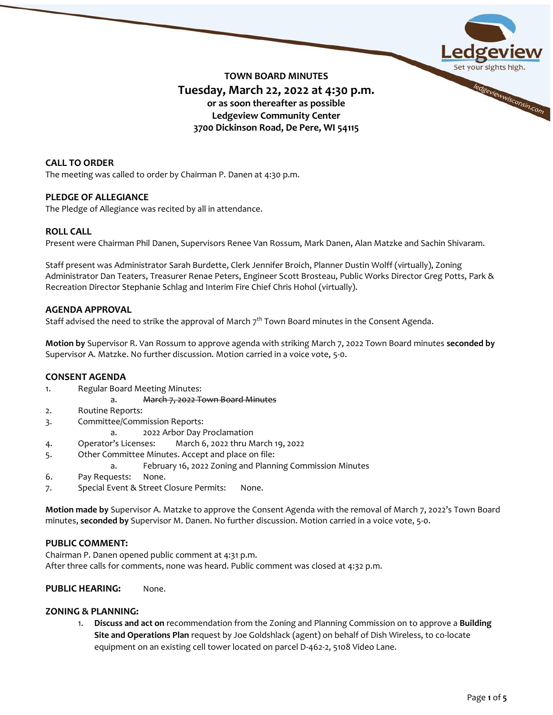

# **CALL TO ORDER**

The meeting was called to order by Chairman P. Danen at 4:30 p.m.

## **PLEDGE OF ALLEGIANCE**

The Pledge of Allegiance was recited by all in attendance.

# **ROLL CALL**

Present were Chairman Phil Danen, Supervisors Renee Van Rossum, Mark Danen, Alan Matzke and Sachin Shivaram.

Staff present was Administrator Sarah Burdette, Clerk Jennifer Broich, Planner Dustin Wolff (virtually), Zoning Administrator Dan Teaters, Treasurer Renae Peters, Engineer Scott Brosteau, Public Works Director Greg Potts, Park & Recreation Director Stephanie Schlag and Interim Fire Chief Chris Hohol (virtually).

# **AGENDA APPROVAL**

Staff advised the need to strike the approval of March  $7<sup>th</sup>$  Town Board minutes in the Consent Agenda.

**Motion by** Supervisor R. Van Rossum to approve agenda with striking March 7, 2022 Town Board minutes **seconded by** Supervisor A. Matzke. No further discussion. Motion carried in a voice vote, 5-0.

## **CONSENT AGENDA**

- 1. Regular Board Meeting Minutes:
	- a. March 7, 2022 Town Board Minutes
- 2. Routine Reports:
- 3. Committee/Commission Reports:
	- a. 2022 Arbor Day Proclamation
- 4. Operator's Licenses: March 6, 2022 thru March 19, 2022
- 5. Other Committee Minutes. Accept and place on file:
	- a. February 16, 2022 Zoning and Planning Commission Minutes
- 6. Pay Requests: None.
- 7. Special Event & Street Closure Permits: None.

**Motion made by** Supervisor A. Matzke to approve the Consent Agenda with the removal of March 7, 2022's Town Board minutes, **seconded by** Supervisor M. Danen. No further discussion. Motion carried in a voice vote, 5-0.

## **PUBLIC COMMENT:**

Chairman P. Danen opened public comment at 4:31 p.m. After three calls for comments, none was heard. Public comment was closed at 4:32 p.m.

# **PUBLIC HEARING:** None.

# **ZONING & PLANNING:**

1. **Discuss and act on** recommendation from the Zoning and Planning Commission on to approve a **Building Site and Operations Plan** request by Joe Goldshlack (agent) on behalf of Dish Wireless, to co-locate equipment on an existing cell tower located on parcel D-462-2, 5108 Video Lane.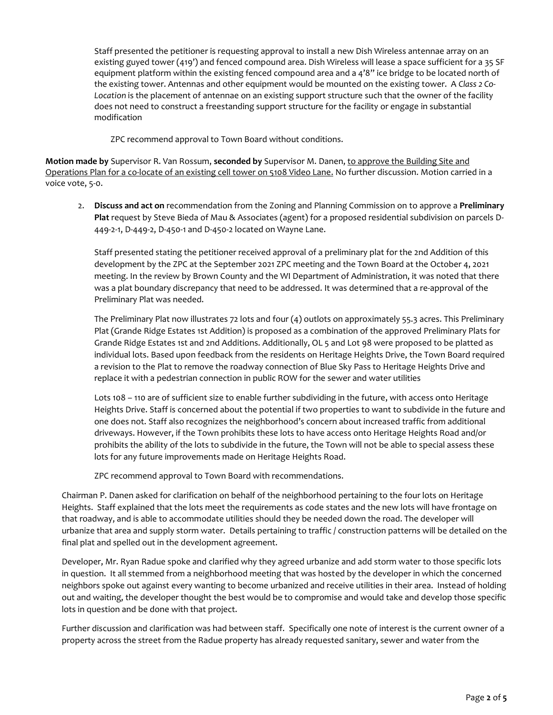Staff presented the petitioner is requesting approval to install a new Dish Wireless antennae array on an existing guyed tower (419') and fenced compound area. Dish Wireless will lease a space sufficient for a 35 SF equipment platform within the existing fenced compound area and a 4'8" ice bridge to be located north of the existing tower. Antennas and other equipment would be mounted on the existing tower. A *Class 2 Co-*Location is the placement of antennae on an existing support structure such that the owner of the facility does not need to construct a freestanding support structure for the facility or engage in substantial modification

ZPC recommend approval to Town Board without conditions.

**Motion made by** Supervisor R. Van Rossum, **seconded by** Supervisor M. Danen, to approve the Building Site and Operations Plan for a co-locate of an existing cell tower on 5108 Video Lane. No further discussion. Motion carried in a voice vote, 5-0.

2. **Discuss and act on** recommendation from the Zoning and Planning Commission on to approve a **Preliminary Plat** request by Steve Bieda of Mau & Associates (agent) for a proposed residential subdivision on parcels D-449-2-1, D-449-2, D-450-1 and D-450-2 located on Wayne Lane.

Staff presented stating the petitioner received approval of a preliminary plat for the 2nd Addition of this development by the ZPC at the September 2021 ZPC meeting and the Town Board at the October 4, 2021 meeting. In the review by Brown County and the WI Department of Administration, it was noted that there was a plat boundary discrepancy that need to be addressed. It was determined that a re-approval of the Preliminary Plat was needed.

The Preliminary Plat now illustrates 72 lots and four (4) outlots on approximately 55.3 acres. This Preliminary Plat (Grande Ridge Estates 1st Addition) is proposed as a combination of the approved Preliminary Plats for Grande Ridge Estates 1st and 2nd Additions. Additionally, OL 5 and Lot 98 were proposed to be platted as individual lots. Based upon feedback from the residents on Heritage Heights Drive, the Town Board required a revision to the Plat to remove the roadway connection of Blue Sky Pass to Heritage Heights Drive and replace it with a pedestrian connection in public ROW for the sewer and water utilities

Lots 108 – 110 are of sufficient size to enable further subdividing in the future, with access onto Heritage Heights Drive. Staff is concerned about the potential if two properties to want to subdivide in the future and one does not. Staff also recognizes the neighborhood's concern about increased traffic from additional driveways. However, if the Town prohibits these lots to have access onto Heritage Heights Road and/or prohibits the ability of the lots to subdivide in the future, the Town will not be able to special assess these lots for any future improvements made on Heritage Heights Road.

ZPC recommend approval to Town Board with recommendations.

Chairman P. Danen asked for clarification on behalf of the neighborhood pertaining to the four lots on Heritage Heights. Staff explained that the lots meet the requirements as code states and the new lots will have frontage on that roadway, and is able to accommodate utilities should they be needed down the road. The developer will urbanize that area and supply storm water. Details pertaining to traffic / construction patterns will be detailed on the final plat and spelled out in the development agreement.

Developer, Mr. Ryan Radue spoke and clarified why they agreed urbanize and add storm water to those specific lots in question. It all stemmed from a neighborhood meeting that was hosted by the developer in which the concerned neighbors spoke out against every wanting to become urbanized and receive utilities in their area. Instead of holding out and waiting, the developer thought the best would be to compromise and would take and develop those specific lots in question and be done with that project.

Further discussion and clarification was had between staff. Specifically one note of interest is the current owner of a property across the street from the Radue property has already requested sanitary, sewer and water from the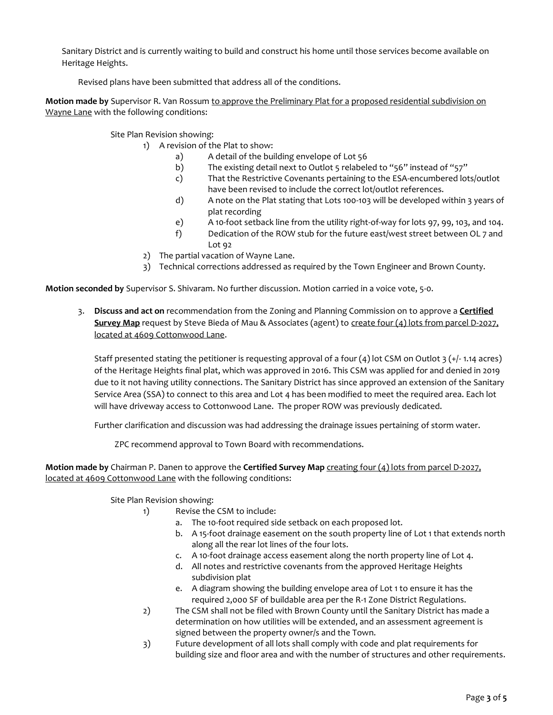Sanitary District and is currently waiting to build and construct his home until those services become available on Heritage Heights.

Revised plans have been submitted that address all of the conditions.

**Motion made by** Supervisor R. Van Rossum to approve the Preliminary Plat for a proposed residential subdivision on Wayne Lane with the following conditions:

Site Plan Revision showing:

1) A revision of the Plat to show:

- a) A detail of the building envelope of Lot 56
- b) The existing detail next to Outlot 5 relabeled to "56" instead of "57"
- c) That the Restrictive Covenants pertaining to the ESA-encumbered lots/outlot have been revised to include the correct lot/outlot references.
- d) A note on the Plat stating that Lots 100-103 will be developed within 3 years of plat recording
- e) A 10-foot setback line from the utility right-of-way for lots 97, 99, 103, and 104.
- f) Dedication of the ROW stub for the future east/west street between OL 7 and Lot 92
- 2) The partial vacation of Wayne Lane.
- 3) Technical corrections addressed as required by the Town Engineer and Brown County.

**Motion seconded by** Supervisor S. Shivaram. No further discussion. Motion carried in a voice vote, 5-0.

3. **Discuss and act on** recommendation from the Zoning and Planning Commission on to approve a **Certified Survey Map** request by Steve Bieda of Mau & Associates (agent) to create four (4) lots from parcel D-2027, located at 4609 Cottonwood Lane.

Staff presented stating the petitioner is requesting approval of a four  $(4)$  lot CSM on Outlot 3 (+/-1.14 acres) of the Heritage Heights final plat, which was approved in 2016. This CSM was applied for and denied in 2019 due to it not having utility connections. The Sanitary District has since approved an extension of the Sanitary Service Area (SSA) to connect to this area and Lot 4 has been modified to meet the required area. Each lot will have driveway access to Cottonwood Lane. The proper ROW was previously dedicated.

Further clarification and discussion was had addressing the drainage issues pertaining of storm water.

ZPC recommend approval to Town Board with recommendations.

**Motion made by** Chairman P. Danen to approve the **Certified Survey Map** creating four (4) lots from parcel D-2027, located at 4609 Cottonwood Lane with the following conditions:

Site Plan Revision showing:

- 1) Revise the CSM to include:
	- a. The 10-foot required side setback on each proposed lot.
	- b. A 15-foot drainage easement on the south property line of Lot 1 that extends north along all the rear lot lines of the four lots.
	- c. A 10-foot drainage access easement along the north property line of Lot 4.
	- d. All notes and restrictive covenants from the approved Heritage Heights subdivision plat
	- e. A diagram showing the building envelope area of Lot 1 to ensure it has the required 2,000 SF of buildable area per the R-1 Zone District Regulations.
- 2) The CSM shall not be filed with Brown County until the Sanitary District has made a determination on how utilities will be extended, and an assessment agreement is signed between the property owner/s and the Town.
- 3) Future development of all lots shall comply with code and plat requirements for building size and floor area and with the number of structures and other requirements.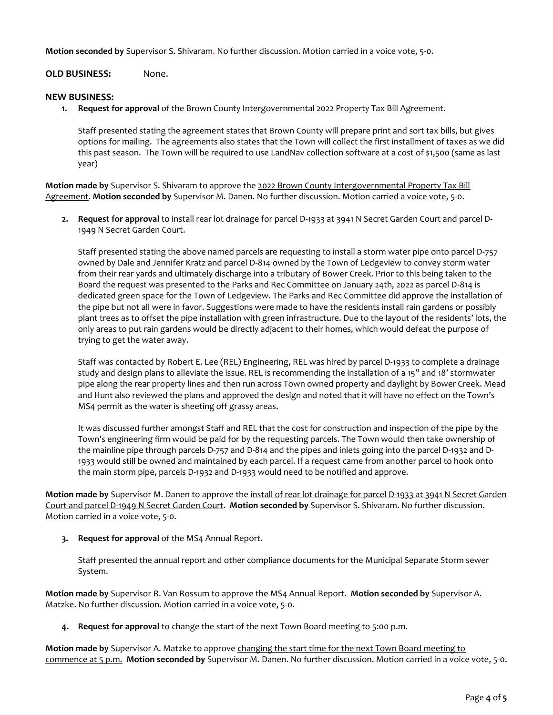**Motion seconded by** Supervisor S. Shivaram. No further discussion. Motion carried in a voice vote, 5-0.

# **OLD BUSINESS:** None.

## **NEW BUSINESS:**

**1. Request for approval** of the Brown County Intergovernmental 2022 Property Tax Bill Agreement.

Staff presented stating the agreement states that Brown County will prepare print and sort tax bills, but gives options for mailing. The agreements also states that the Town will collect the first installment of taxes as we did this past season. The Town will be required to use LandNav collection software at a cost of \$1,500 (same as last year)

**Motion made by** Supervisor S. Shivaram to approve the 2022 Brown County Intergovernmental Property Tax Bill Agreement. **Motion seconded by** Supervisor M. Danen. No further discussion. Motion carried a voice vote, 5-0.

**2. Request for approval** to install rear lot drainage for parcel D-1933 at 3941 N Secret Garden Court and parcel D-1949 N Secret Garden Court.

Staff presented stating the above named parcels are requesting to install a storm water pipe onto parcel D-757 owned by Dale and Jennifer Kratz and parcel D-814 owned by the Town of Ledgeview to convey storm water from their rear yards and ultimately discharge into a tributary of Bower Creek. Prior to this being taken to the Board the request was presented to the Parks and Rec Committee on January 24th, 2022 as parcel D-814 is dedicated green space for the Town of Ledgeview. The Parks and Rec Committee did approve the installation of the pipe but not all were in favor. Suggestions were made to have the residents install rain gardens or possibly plant trees as to offset the pipe installation with green infrastructure. Due to the layout of the residents' lots, the only areas to put rain gardens would be directly adjacent to their homes, which would defeat the purpose of trying to get the water away.

Staff was contacted by Robert E. Lee (REL) Engineering, REL was hired by parcel D-1933 to complete a drainage study and design plans to alleviate the issue. REL is recommending the installation of a 15" and 18' stormwater pipe along the rear property lines and then run across Town owned property and daylight by Bower Creek. Mead and Hunt also reviewed the plans and approved the design and noted that it will have no effect on the Town's MS4 permit as the water is sheeting off grassy areas.

It was discussed further amongst Staff and REL that the cost for construction and inspection of the pipe by the Town's engineering firm would be paid for by the requesting parcels. The Town would then take ownership of the mainline pipe through parcels D-757 and D-814 and the pipes and inlets going into the parcel D-1932 and D-1933 would still be owned and maintained by each parcel. If a request came from another parcel to hook onto the main storm pipe, parcels D-1932 and D-1933 would need to be notified and approve.

**Motion made by** Supervisor M. Danen to approve the install of rear lot drainage for parcel D-1933 at 3941 N Secret Garden Court and parcel D-1949 N Secret Garden Court. **Motion seconded by** Supervisor S. Shivaram. No further discussion. Motion carried in a voice vote, 5-0.

**3. Request for approval** of the MS4 Annual Report.

Staff presented the annual report and other compliance documents for the Municipal Separate Storm sewer System.

**Motion made by** Supervisor R. Van Rossum to approve the MS4 Annual Report. **Motion seconded by** Supervisor A. Matzke. No further discussion. Motion carried in a voice vote, 5-0.

**4. Request for approval** to change the start of the next Town Board meeting to 5:00 p.m.

**Motion made by** Supervisor A. Matzke to approve changing the start time for the next Town Board meeting to commence at 5 p.m. **Motion seconded by** Supervisor M. Danen. No further discussion. Motion carried in a voice vote, 5-0.